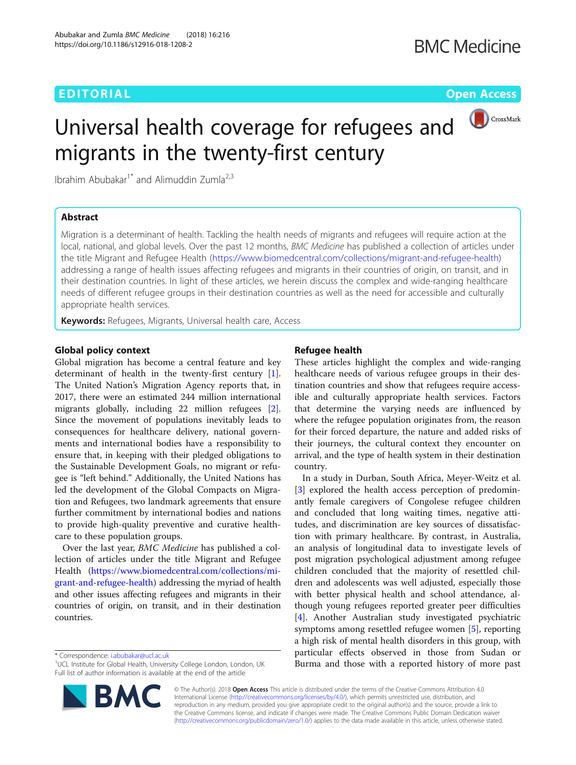# EDI TORIA L Op[en](http://crossmark.crossref.org/dialog/?doi=10.1186/s12916-018-1208-2&domain=pdf) [Access](http://crossmark.crossref.org/dialog/?doi=10.1186/s12916-018-1208-2&domain=pdf)



# Universal health coverage for refugees and migrants in the twenty-first century

Ibrahim Abubakar<sup>1\*</sup> and Alimuddin Zumla<sup>2,3</sup>

# **Abstract**

Migration is a determinant of health. Tackling the health needs of migrants and refugees will require action at the local, national, and global levels. Over the past 12 months, BMC Medicine has published a collection of articles under the title Migrant and Refugee Health ([https://www.biomedcentral.com/collections/migrant-and-refugee-health\)](https://www.biomedcentral.com/collections/migrant-and-refugee-health) addressing a range of health issues affecting refugees and migrants in their countries of origin, on transit, and in their destination countries. In light of these articles, we herein discuss the complex and wide-ranging healthcare needs of different refugee groups in their destination countries as well as the need for accessible and culturally appropriate health services.

Keywords: Refugees, Migrants, Universal health care, Access

Global migration has become a central feature and key determinant of health in the twenty-first century [\[1](#page-2-0)]. The United Nation's Migration Agency reports that, in 2017, there were an estimated 244 million international migrants globally, including 22 million refugees [\[2](#page-2-0)]. Since the movement of populations inevitably leads to consequences for healthcare delivery, national governments and international bodies have a responsibility to ensure that, in keeping with their pledged obligations to the Sustainable Development Goals, no migrant or refugee is "left behind." Additionally, the United Nations has led the development of the Global Compacts on Migration and Refugees, two landmark agreements that ensure further commitment by international bodies and nations to provide high-quality preventive and curative healthcare to these population groups.

Over the last year, BMC Medicine has published a collection of articles under the title Migrant and Refugee Health [\(https://www.biomedcentral.com/collections/mi](https://www.biomedcentral.com/collections/migrant-and-refugee-health)[grant-and-refugee-health\)](https://www.biomedcentral.com/collections/migrant-and-refugee-health) addressing the myriad of health and other issues affecting refugees and migrants in their countries of origin, on transit, and in their destination countries.

\* Correspondence: [i.abubakar@ucl.ac.uk](mailto:i.abubakar@ucl.ac.uk) <sup>1</sup>



These articles highlight the complex and wide-ranging healthcare needs of various refugee groups in their destination countries and show that refugees require accessible and culturally appropriate health services. Factors that determine the varying needs are influenced by where the refugee population originates from, the reason for their forced departure, the nature and added risks of their journeys, the cultural context they encounter on arrival, and the type of health system in their destination country.

In a study in Durban, South Africa, Meyer-Weitz et al. [[3\]](#page-2-0) explored the health access perception of predominantly female caregivers of Congolese refugee children and concluded that long waiting times, negative attitudes, and discrimination are key sources of dissatisfaction with primary healthcare. By contrast, in Australia, an analysis of longitudinal data to investigate levels of post migration psychological adjustment among refugee children concluded that the majority of resettled children and adolescents was well adjusted, especially those with better physical health and school attendance, although young refugees reported greater peer difficulties [[4\]](#page-2-0). Another Australian study investigated psychiatric symptoms among resettled refugee women [\[5](#page-2-0)], reporting a high risk of mental health disorders in this group, with particular effects observed in those from Sudan or Burma and those with a reported history of more past

© The Author(s). 2018 Open Access This article is distributed under the terms of the Creative Commons Attribution 4.0 International License [\(http://creativecommons.org/licenses/by/4.0/](http://creativecommons.org/licenses/by/4.0/)), which permits unrestricted use, distribution, and reproduction in any medium, provided you give appropriate credit to the original author(s) and the source, provide a link to the Creative Commons license, and indicate if changes were made. The Creative Commons Public Domain Dedication waiver [\(http://creativecommons.org/publicdomain/zero/1.0/](http://creativecommons.org/publicdomain/zero/1.0/)) applies to the data made available in this article, unless otherwise stated.



<sup>&</sup>lt;sup>1</sup>UCL Institute for Global Health, University College London, London, UK Full list of author information is available at the end of the article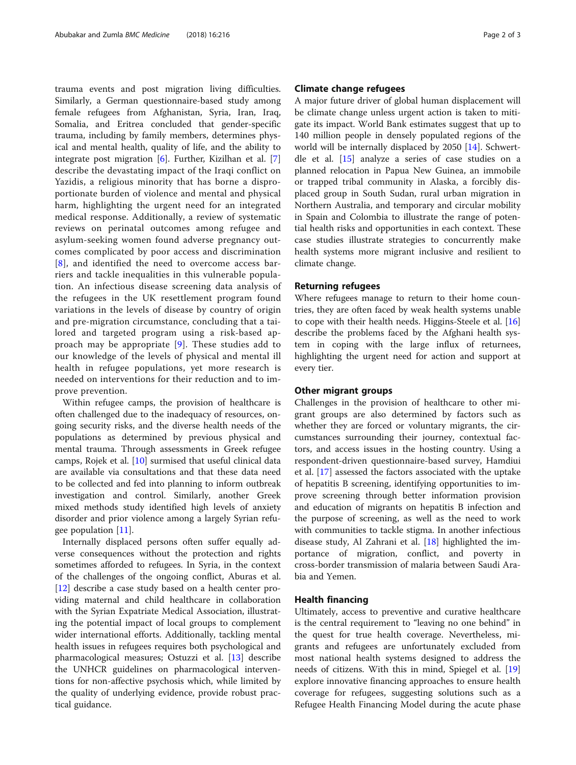trauma events and post migration living difficulties. Similarly, a German questionnaire-based study among female refugees from Afghanistan, Syria, Iran, Iraq, Somalia, and Eritrea concluded that gender-specific trauma, including by family members, determines physical and mental health, quality of life, and the ability to integrate post migration  $[6]$  $[6]$ . Further, Kizilhan et al.  $[7]$  $[7]$ describe the devastating impact of the Iraqi conflict on Yazidis, a religious minority that has borne a disproportionate burden of violence and mental and physical harm, highlighting the urgent need for an integrated medical response. Additionally, a review of systematic reviews on perinatal outcomes among refugee and asylum-seeking women found adverse pregnancy outcomes complicated by poor access and discrimination [[8](#page-2-0)], and identified the need to overcome access barriers and tackle inequalities in this vulnerable population. An infectious disease screening data analysis of the refugees in the UK resettlement program found variations in the levels of disease by country of origin and pre-migration circumstance, concluding that a tailored and targeted program using a risk-based approach may be appropriate [\[9\]](#page-2-0). These studies add to our knowledge of the levels of physical and mental ill health in refugee populations, yet more research is needed on interventions for their reduction and to improve prevention.

Within refugee camps, the provision of healthcare is often challenged due to the inadequacy of resources, ongoing security risks, and the diverse health needs of the populations as determined by previous physical and mental trauma. Through assessments in Greek refugee camps, Rojek et al. [[10](#page-2-0)] surmised that useful clinical data are available via consultations and that these data need to be collected and fed into planning to inform outbreak investigation and control. Similarly, another Greek mixed methods study identified high levels of anxiety disorder and prior violence among a largely Syrian refugee population [\[11](#page-2-0)].

Internally displaced persons often suffer equally adverse consequences without the protection and rights sometimes afforded to refugees. In Syria, in the context of the challenges of the ongoing conflict, Aburas et al. [[12\]](#page-2-0) describe a case study based on a health center providing maternal and child healthcare in collaboration with the Syrian Expatriate Medical Association, illustrating the potential impact of local groups to complement wider international efforts. Additionally, tackling mental health issues in refugees requires both psychological and pharmacological measures; Ostuzzi et al. [\[13\]](#page-2-0) describe the UNHCR guidelines on pharmacological interventions for non-affective psychosis which, while limited by the quality of underlying evidence, provide robust practical guidance.

A major future driver of global human displacement will be climate change unless urgent action is taken to mitigate its impact. World Bank estimates suggest that up to 140 million people in densely populated regions of the world will be internally displaced by 2050 [[14\]](#page-2-0). Schwertdle et al. [\[15\]](#page-2-0) analyze a series of case studies on a planned relocation in Papua New Guinea, an immobile or trapped tribal community in Alaska, a forcibly displaced group in South Sudan, rural urban migration in Northern Australia, and temporary and circular mobility in Spain and Colombia to illustrate the range of potential health risks and opportunities in each context. These case studies illustrate strategies to concurrently make health systems more migrant inclusive and resilient to climate change.

Where refugees manage to return to their home countries, they are often faced by weak health systems unable to cope with their health needs. Higgins-Steele et al. [[16](#page-2-0)] describe the problems faced by the Afghani health system in coping with the large influx of returnees, highlighting the urgent need for action and support at every tier.

Challenges in the provision of healthcare to other migrant groups are also determined by factors such as whether they are forced or voluntary migrants, the circumstances surrounding their journey, contextual factors, and access issues in the hosting country. Using a respondent-driven questionnaire-based survey, Hamdiui et al. [[17](#page-2-0)] assessed the factors associated with the uptake of hepatitis B screening, identifying opportunities to improve screening through better information provision and education of migrants on hepatitis B infection and the purpose of screening, as well as the need to work with communities to tackle stigma. In another infectious disease study, Al Zahrani et al. [\[18](#page-2-0)] highlighted the importance of migration, conflict, and poverty in cross-border transmission of malaria between Saudi Arabia and Yemen.

Ultimately, access to preventive and curative healthcare is the central requirement to "leaving no one behind" in the quest for true health coverage. Nevertheless, migrants and refugees are unfortunately excluded from most national health systems designed to address the needs of citizens. With this in mind, Spiegel et al. [[19](#page-2-0)] explore innovative financing approaches to ensure health coverage for refugees, suggesting solutions such as a Refugee Health Financing Model during the acute phase